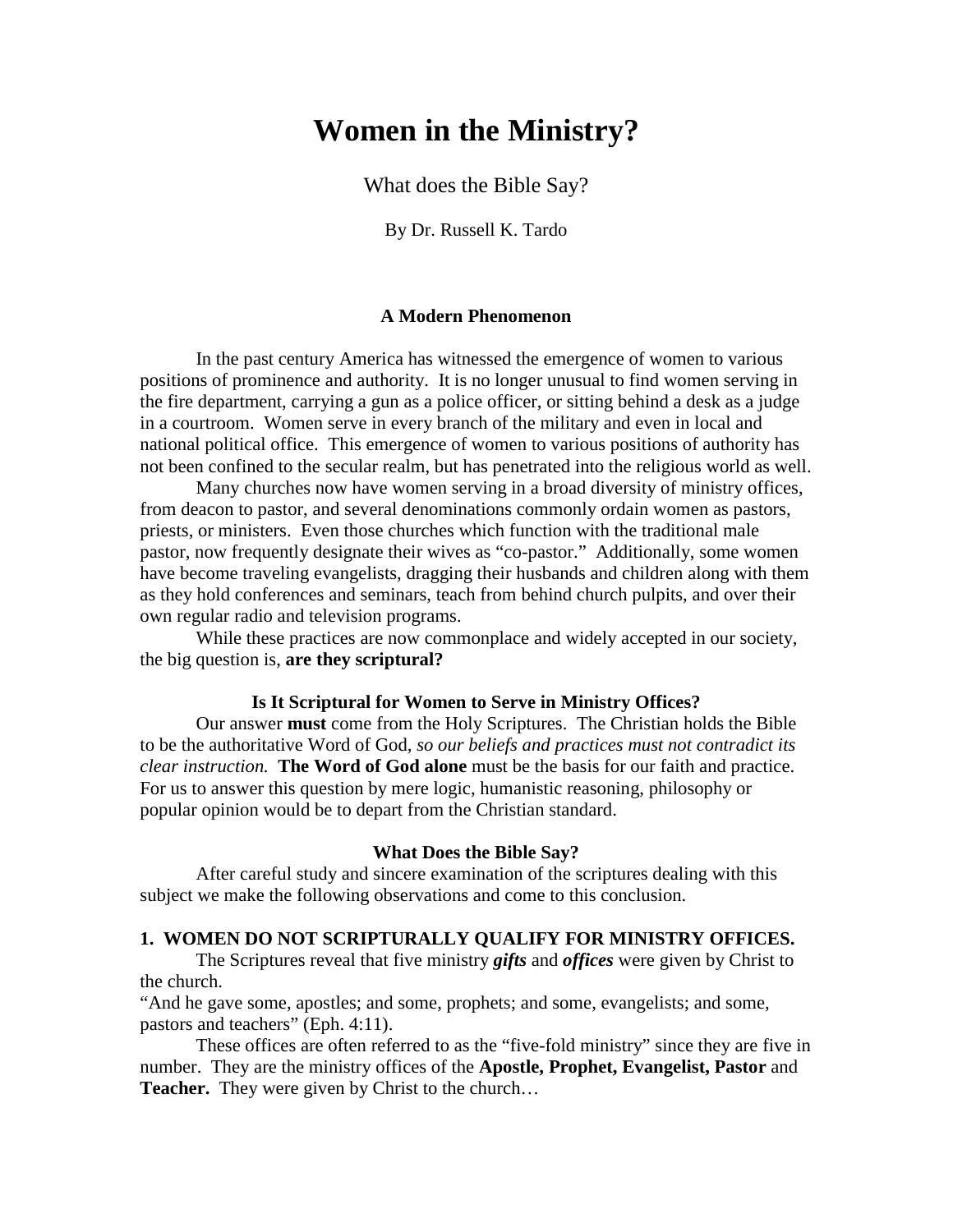# **Women in the Ministry?**

What does the Bible Say?

By Dr. Russell K. Tardo

## **A Modern Phenomenon**

In the past century America has witnessed the emergence of women to various positions of prominence and authority. It is no longer unusual to find women serving in the fire department, carrying a gun as a police officer, or sitting behind a desk as a judge in a courtroom. Women serve in every branch of the military and even in local and national political office. This emergence of women to various positions of authority has not been confined to the secular realm, but has penetrated into the religious world as well.

Many churches now have women serving in a broad diversity of ministry offices, from deacon to pastor, and several denominations commonly ordain women as pastors, priests, or ministers. Even those churches which function with the traditional male pastor, now frequently designate their wives as "co-pastor." Additionally, some women have become traveling evangelists, dragging their husbands and children along with them as they hold conferences and seminars, teach from behind church pulpits, and over their own regular radio and television programs.

While these practices are now commonplace and widely accepted in our society, the big question is, **are they scriptural?**

#### **Is It Scriptural for Women to Serve in Ministry Offices?**

 Our answer **must** come from the Holy Scriptures. The Christian holds the Bible to be the authoritative Word of God*, so our beliefs and practices must not contradict its clear instruction.* **The Word of God alone** must be the basis for our faith and practice. For us to answer this question by mere logic, humanistic reasoning, philosophy or popular opinion would be to depart from the Christian standard.

#### **What Does the Bible Say?**

 After careful study and sincere examination of the scriptures dealing with this subject we make the following observations and come to this conclusion.

#### **1. WOMEN DO NOT SCRIPTURALLY QUALIFY FOR MINISTRY OFFICES.**

 The Scriptures reveal that five ministry *gifts* and *offices* were given by Christ to the church.

"And he gave some, apostles; and some, prophets; and some, evangelists; and some, pastors and teachers" (Eph. 4:11).

 These offices are often referred to as the "five-fold ministry" since they are five in number. They are the ministry offices of the **Apostle, Prophet, Evangelist, Pastor** and **Teacher.** They were given by Christ to the church...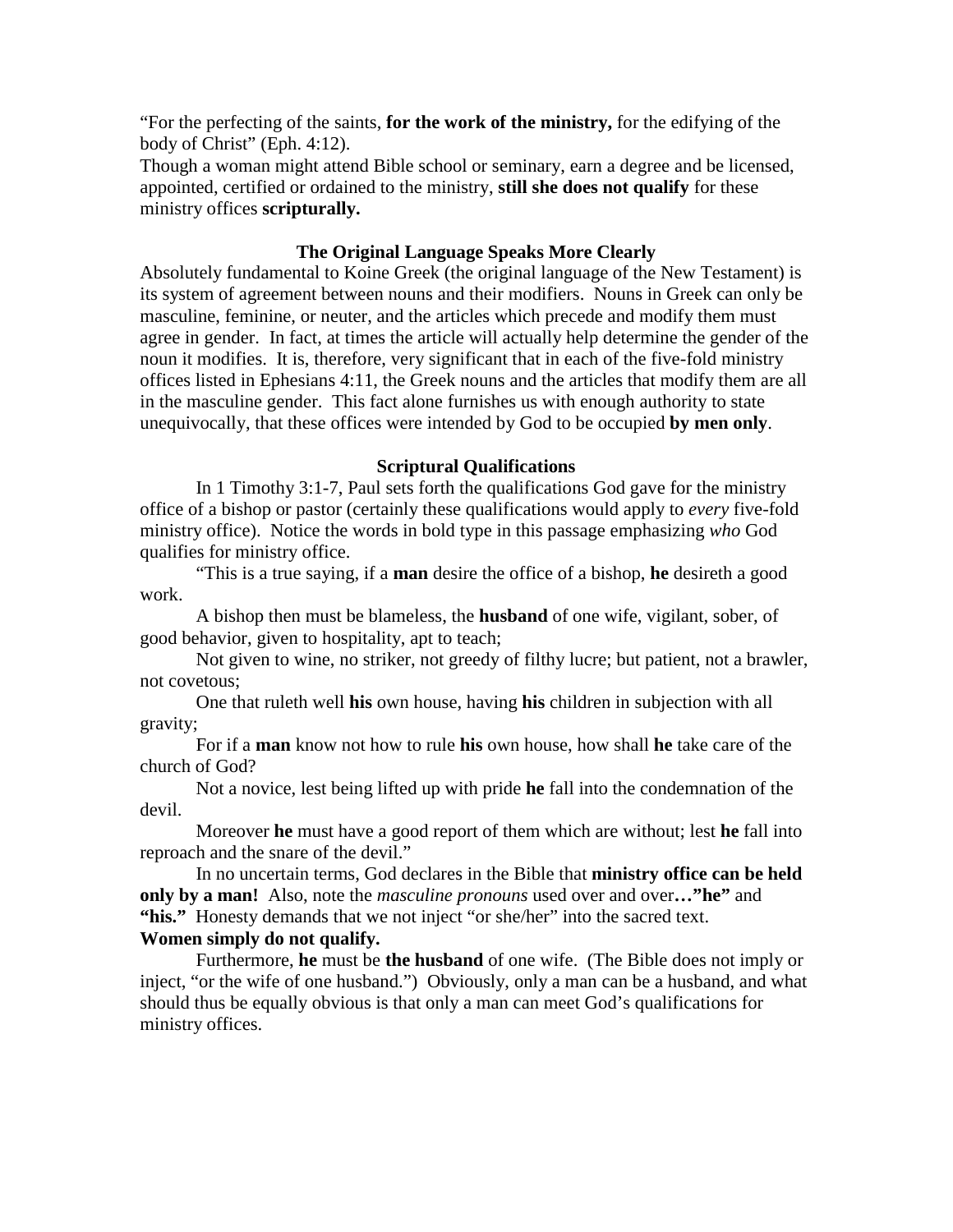"For the perfecting of the saints, **for the work of the ministry,** for the edifying of the body of Christ" (Eph. 4:12).

Though a woman might attend Bible school or seminary, earn a degree and be licensed, appointed, certified or ordained to the ministry, **still she does not qualify** for these ministry offices **scripturally.**

## **The Original Language Speaks More Clearly**

Absolutely fundamental to Koine Greek (the original language of the New Testament) is its system of agreement between nouns and their modifiers. Nouns in Greek can only be masculine, feminine, or neuter, and the articles which precede and modify them must agree in gender. In fact, at times the article will actually help determine the gender of the noun it modifies. It is, therefore, very significant that in each of the five-fold ministry offices listed in Ephesians 4:11, the Greek nouns and the articles that modify them are all in the masculine gender. This fact alone furnishes us with enough authority to state unequivocally, that these offices were intended by God to be occupied **by men only**.

#### **Scriptural Qualifications**

 In 1 Timothy 3:1-7, Paul sets forth the qualifications God gave for the ministry office of a bishop or pastor (certainly these qualifications would apply to *every* five-fold ministry office). Notice the words in bold type in this passage emphasizing *who* God qualifies for ministry office.

 "This is a true saying, if a **man** desire the office of a bishop, **he** desireth a good work.

 A bishop then must be blameless, the **husband** of one wife, vigilant, sober, of good behavior, given to hospitality, apt to teach;

 Not given to wine, no striker, not greedy of filthy lucre; but patient, not a brawler, not covetous;

 One that ruleth well **his** own house, having **his** children in subjection with all gravity;

 For if a **man** know not how to rule **his** own house, how shall **he** take care of the church of God?

 Not a novice, lest being lifted up with pride **he** fall into the condemnation of the devil.

 Moreover **he** must have a good report of them which are without; lest **he** fall into reproach and the snare of the devil."

 In no uncertain terms, God declares in the Bible that **ministry office can be held only by a man!** Also, note the *masculine pronouns* used over and over**…"he"** and **"his."** Honesty demands that we not inject "or she/her" into the sacred text.

# **Women simply do not qualify.**

 Furthermore, **he** must be **the husband** of one wife. (The Bible does not imply or inject, "or the wife of one husband.") Obviously, only a man can be a husband, and what should thus be equally obvious is that only a man can meet God's qualifications for ministry offices.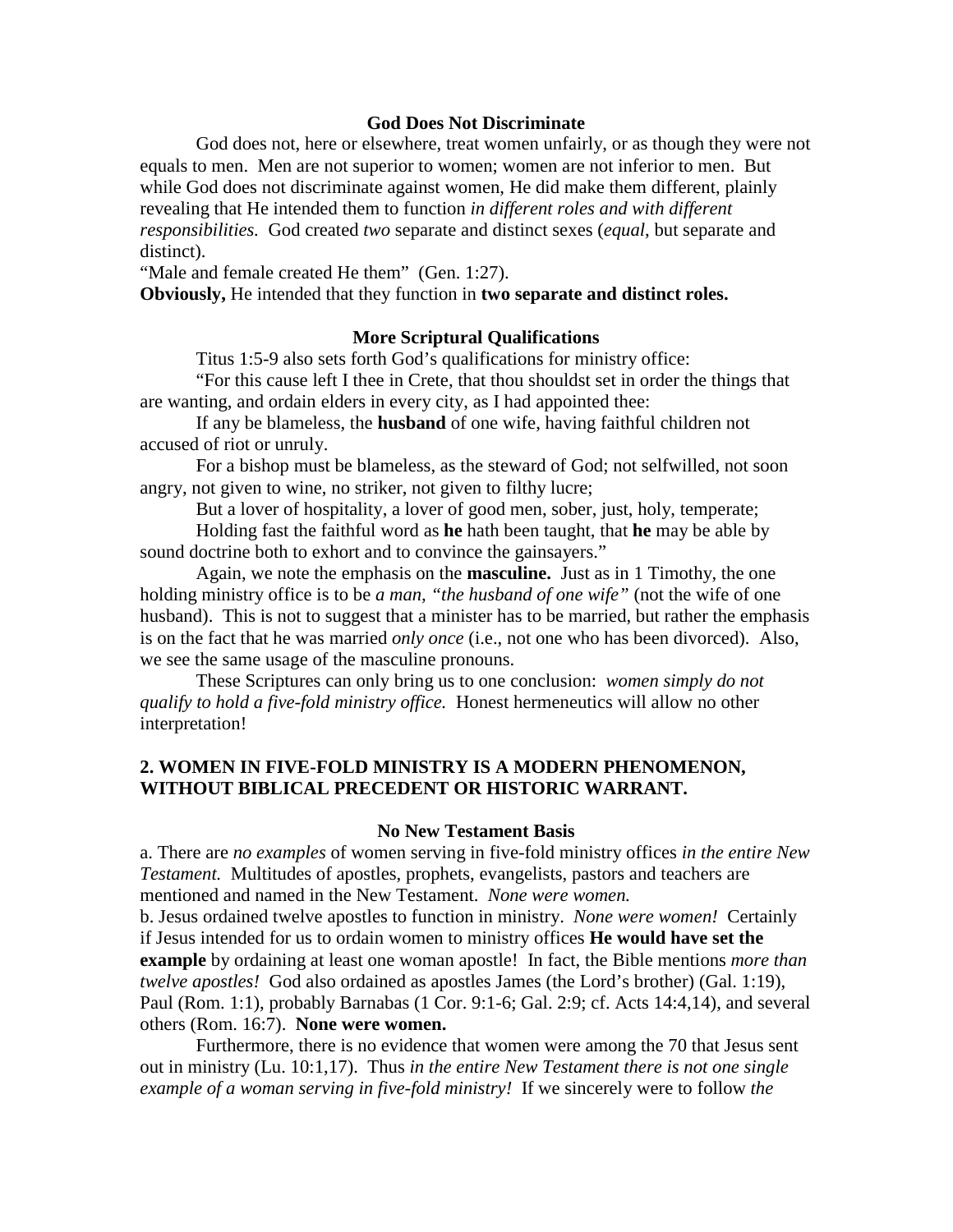#### **God Does Not Discriminate**

 God does not, here or elsewhere, treat women unfairly, or as though they were not equals to men. Men are not superior to women; women are not inferior to men. But while God does not discriminate against women, He did make them different, plainly revealing that He intended them to function *in different roles and with different responsibilities.* God created *two* separate and distinct sexes (*equal*, but separate and distinct).

"Male and female created He them" (Gen. 1:27).

**Obviously,** He intended that they function in **two separate and distinct roles.**

#### **More Scriptural Qualifications**

Titus 1:5-9 also sets forth God's qualifications for ministry office:

 "For this cause left I thee in Crete, that thou shouldst set in order the things that are wanting, and ordain elders in every city, as I had appointed thee:

 If any be blameless, the **husband** of one wife, having faithful children not accused of riot or unruly.

 For a bishop must be blameless, as the steward of God; not selfwilled, not soon angry, not given to wine, no striker, not given to filthy lucre;

But a lover of hospitality, a lover of good men, sober, just, holy, temperate;

 Holding fast the faithful word as **he** hath been taught, that **he** may be able by sound doctrine both to exhort and to convince the gainsayers."

 Again, we note the emphasis on the **masculine.** Just as in 1 Timothy, the one holding ministry office is to be *a man, "the husband of one wife"* (not the wife of one husband). This is not to suggest that a minister has to be married, but rather the emphasis is on the fact that he was married *only once* (i.e., not one who has been divorced). Also, we see the same usage of the masculine pronouns.

 These Scriptures can only bring us to one conclusion: *women simply do not qualify to hold a five-fold ministry office.* Honest hermeneutics will allow no other interpretation!

# **2. WOMEN IN FIVE-FOLD MINISTRY IS A MODERN PHENOMENON, WITHOUT BIBLICAL PRECEDENT OR HISTORIC WARRANT.**

#### **No New Testament Basis**

a. There are *no examples* of women serving in five-fold ministry offices *in the entire New Testament.* Multitudes of apostles, prophets, evangelists, pastors and teachers are mentioned and named in the New Testament. *None were women.*

b. Jesus ordained twelve apostles to function in ministry. *None were women!* Certainly if Jesus intended for us to ordain women to ministry offices **He would have set the example** by ordaining at least one woman apostle! In fact, the Bible mentions *more than twelve apostles!* God also ordained as apostles James (the Lord's brother) (Gal. 1:19), Paul (Rom. 1:1), probably Barnabas (1 Cor. 9:1-6; Gal. 2:9; cf. Acts 14:4,14), and several others (Rom. 16:7). **None were women.**

 Furthermore, there is no evidence that women were among the 70 that Jesus sent out in ministry (Lu. 10:1,17). Thus *in the entire New Testament there is not one single example of a woman serving in five-fold ministry!* If we sincerely were to follow *the*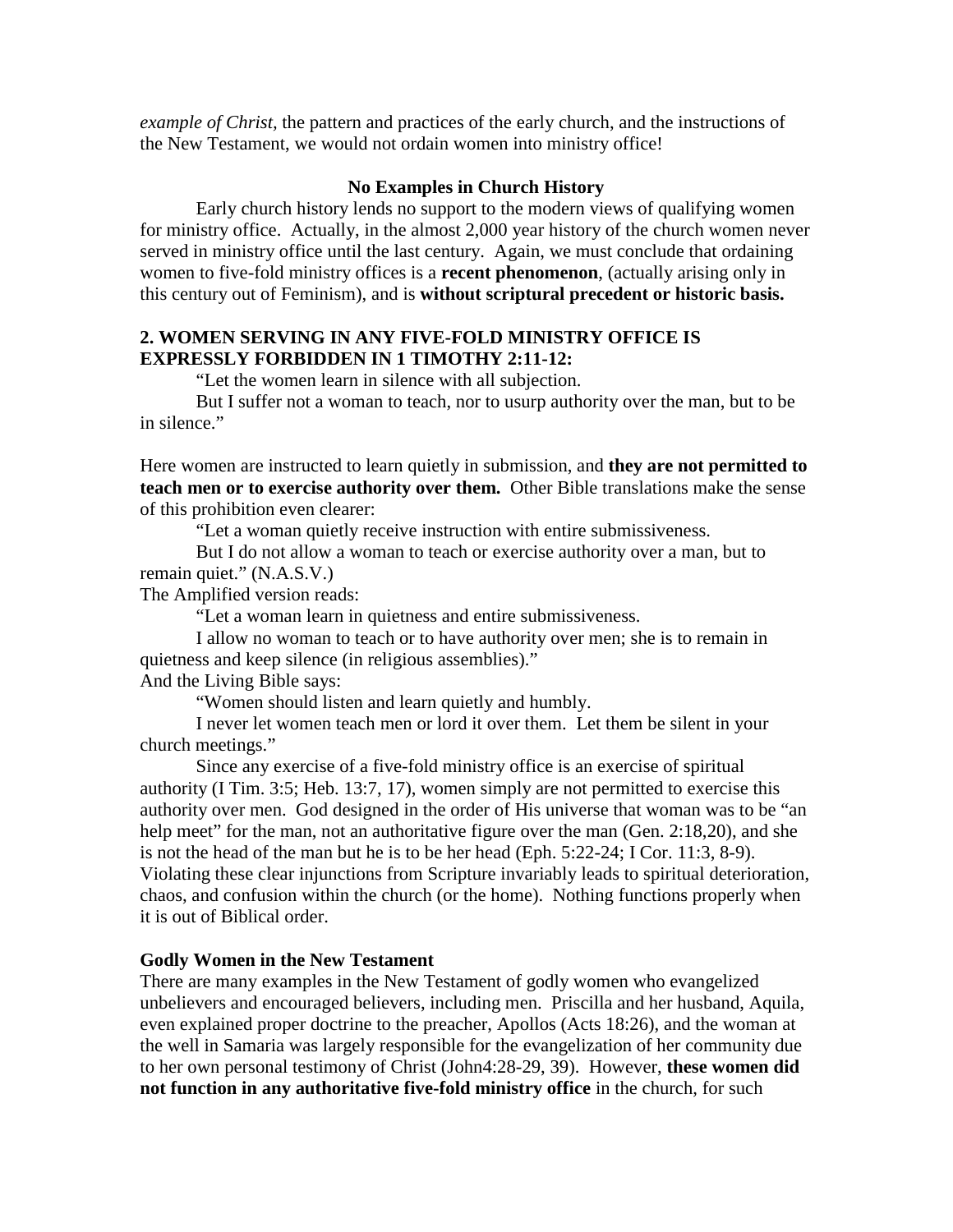*example of Christ,* the pattern and practices of the early church, and the instructions of the New Testament, we would not ordain women into ministry office!

# **No Examples in Church History**

 Early church history lends no support to the modern views of qualifying women for ministry office. Actually, in the almost 2,000 year history of the church women never served in ministry office until the last century. Again, we must conclude that ordaining women to five-fold ministry offices is a **recent phenomenon**, (actually arising only in this century out of Feminism), and is **without scriptural precedent or historic basis.** 

# **2. WOMEN SERVING IN ANY FIVE-FOLD MINISTRY OFFICE IS EXPRESSLY FORBIDDEN IN 1 TIMOTHY 2:11-12:**

"Let the women learn in silence with all subjection.

 But I suffer not a woman to teach, nor to usurp authority over the man, but to be in silence."

Here women are instructed to learn quietly in submission, and **they are not permitted to teach men or to exercise authority over them.** Other Bible translations make the sense of this prohibition even clearer:

"Let a woman quietly receive instruction with entire submissiveness.

 But I do not allow a woman to teach or exercise authority over a man, but to remain quiet." (N.A.S.V.)

The Amplified version reads:

"Let a woman learn in quietness and entire submissiveness.

 I allow no woman to teach or to have authority over men; she is to remain in quietness and keep silence (in religious assemblies)."

And the Living Bible says:

"Women should listen and learn quietly and humbly.

 I never let women teach men or lord it over them. Let them be silent in your church meetings."

 Since any exercise of a five-fold ministry office is an exercise of spiritual authority (I Tim. 3:5; Heb. 13:7, 17), women simply are not permitted to exercise this authority over men. God designed in the order of His universe that woman was to be "an help meet" for the man, not an authoritative figure over the man (Gen. 2:18,20), and she is not the head of the man but he is to be her head (Eph. 5:22-24; I Cor. 11:3, 8-9). Violating these clear injunctions from Scripture invariably leads to spiritual deterioration, chaos, and confusion within the church (or the home). Nothing functions properly when it is out of Biblical order.

# **Godly Women in the New Testament**

There are many examples in the New Testament of godly women who evangelized unbelievers and encouraged believers, including men. Priscilla and her husband, Aquila, even explained proper doctrine to the preacher, Apollos (Acts 18:26), and the woman at the well in Samaria was largely responsible for the evangelization of her community due to her own personal testimony of Christ (John4:28-29, 39). However, **these women did not function in any authoritative five-fold ministry office** in the church, for such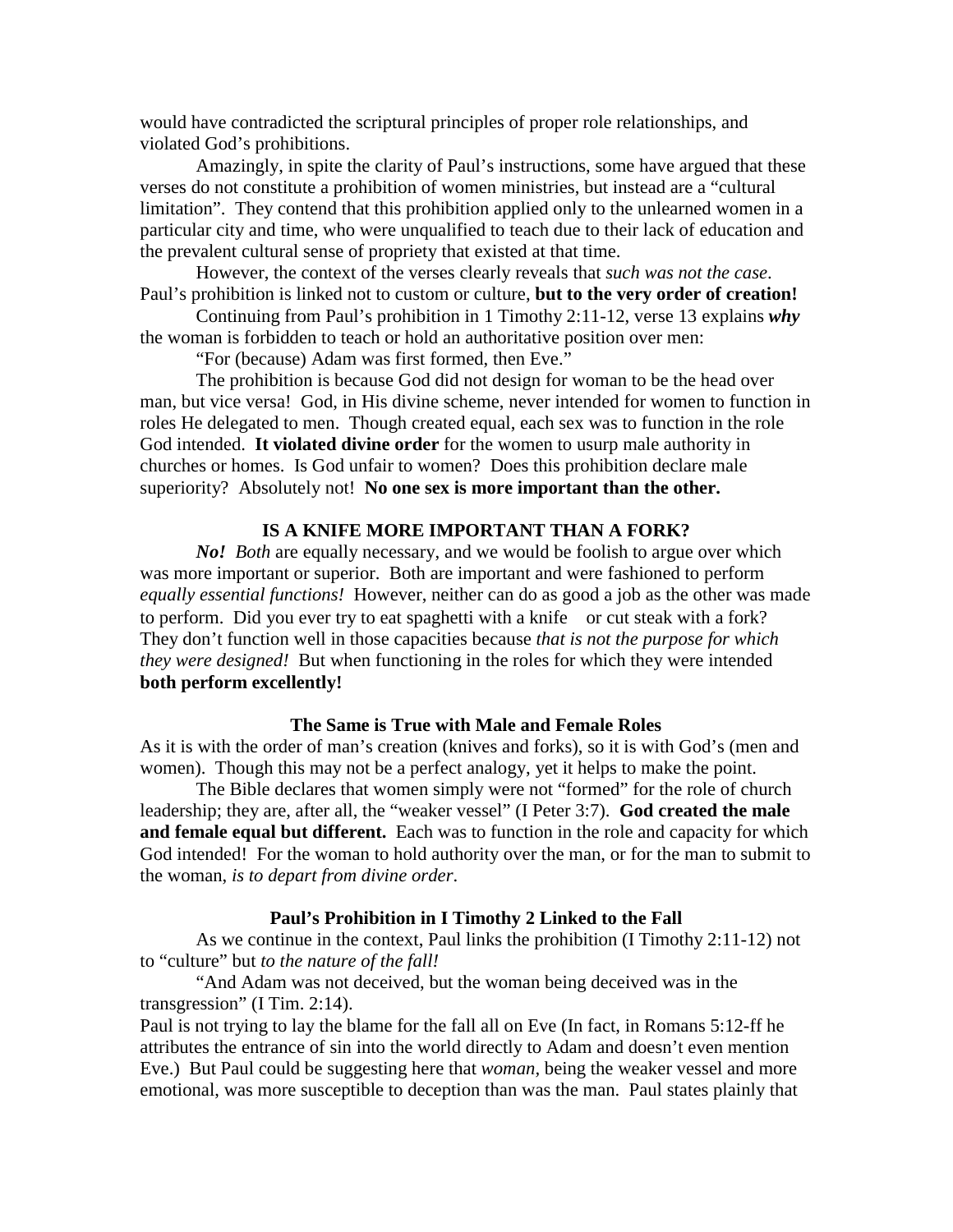would have contradicted the scriptural principles of proper role relationships, and violated God's prohibitions.

 Amazingly, in spite the clarity of Paul's instructions, some have argued that these verses do not constitute a prohibition of women ministries, but instead are a "cultural limitation". They contend that this prohibition applied only to the unlearned women in a particular city and time, who were unqualified to teach due to their lack of education and the prevalent cultural sense of propriety that existed at that time.

 However, the context of the verses clearly reveals that *such was not the case*. Paul's prohibition is linked not to custom or culture, **but to the very order of creation!**

 Continuing from Paul's prohibition in 1 Timothy 2:11-12, verse 13 explains *why* the woman is forbidden to teach or hold an authoritative position over men:

"For (because) Adam was first formed, then Eve."

 The prohibition is because God did not design for woman to be the head over man, but vice versa! God, in His divine scheme, never intended for women to function in roles He delegated to men. Though created equal, each sex was to function in the role God intended. **It violated divine order** for the women to usurp male authority in churches or homes. Is God unfair to women? Does this prohibition declare male superiority? Absolutely not! **No one sex is more important than the other.**

# **IS A KNIFE MORE IMPORTANT THAN A FORK?**

*No! Both* are equally necessary, and we would be foolish to argue over which was more important or superior. Both are important and were fashioned to perform *equally essential functions!* However, neither can do as good a job as the other was made to perform. Did you ever try to eat spaghetti with a knife—or cut steak with a fork? They don't function well in those capacities because *that is not the purpose for which they were designed!* But when functioning in the roles for which they were intended **both perform excellently!** 

#### **The Same is True with Male and Female Roles**

As it is with the order of man's creation (knives and forks), so it is with God's (men and women). Though this may not be a perfect analogy, yet it helps to make the point.

 The Bible declares that women simply were not "formed" for the role of church leadership; they are, after all, the "weaker vessel" (I Peter 3:7). **God created the male and female equal but different.** Each was to function in the role and capacity for which God intended! For the woman to hold authority over the man, or for the man to submit to the woman, *is to depart from divine order*.

#### **Paul's Prohibition in I Timothy 2 Linked to the Fall**

 As we continue in the context, Paul links the prohibition (I Timothy 2:11-12) not to "culture" but *to the nature of the fall!* 

 "And Adam was not deceived, but the woman being deceived was in the transgression" (I Tim. 2:14).

Paul is not trying to lay the blame for the fall all on Eve (In fact, in Romans 5:12-ff he attributes the entrance of sin into the world directly to Adam and doesn't even mention Eve.) But Paul could be suggesting here that *woman,* being the weaker vessel and more emotional, was more susceptible to deception than was the man. Paul states plainly that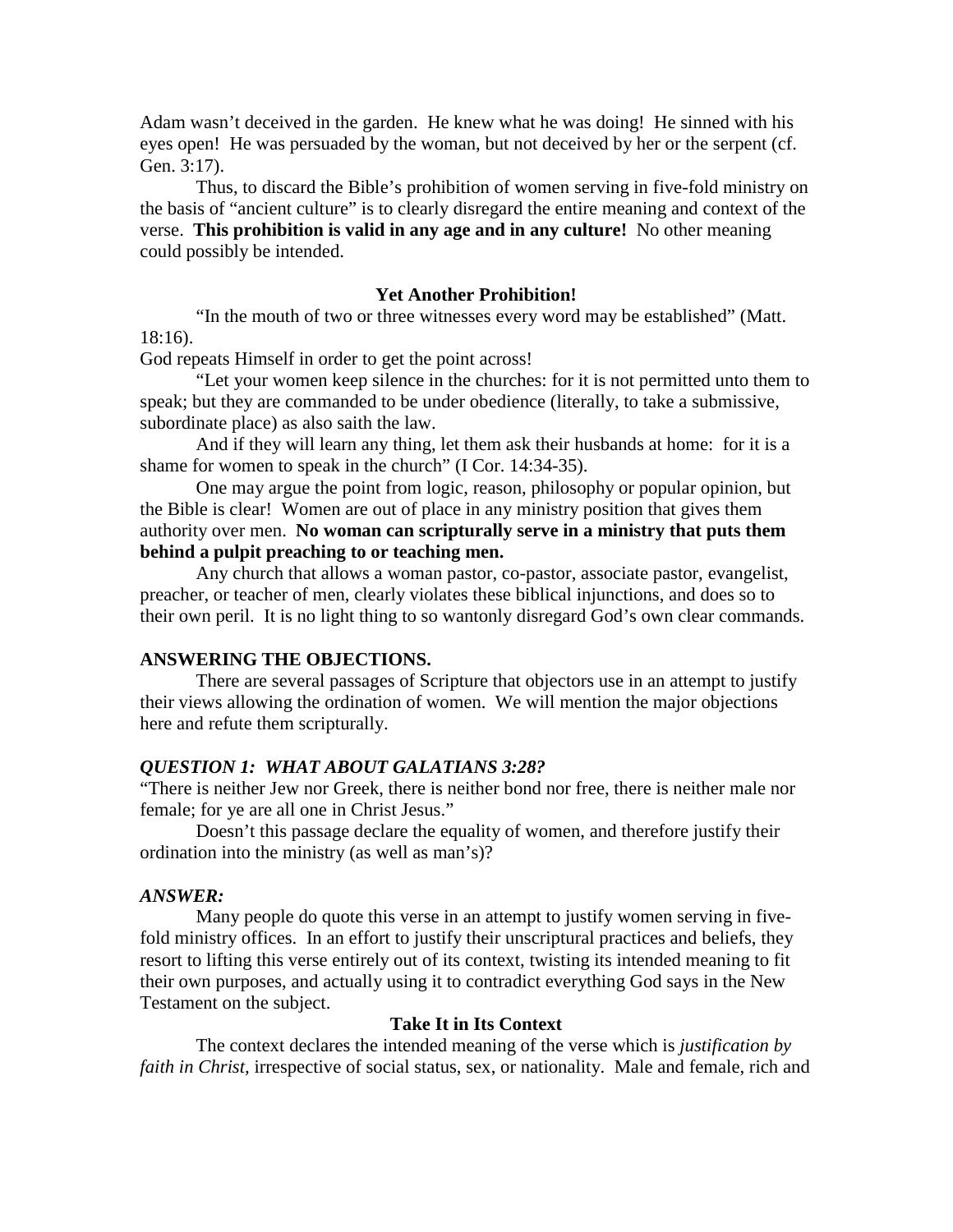Adam wasn't deceived in the garden. He knew what he was doing! He sinned with his eyes open! He was persuaded by the woman, but not deceived by her or the serpent (cf. Gen. 3:17).

 Thus, to discard the Bible's prohibition of women serving in five-fold ministry on the basis of "ancient culture" is to clearly disregard the entire meaning and context of the verse. **This prohibition is valid in any age and in any culture!** No other meaning could possibly be intended.

#### **Yet Another Prohibition!**

 "In the mouth of two or three witnesses every word may be established" (Matt. 18:16).

God repeats Himself in order to get the point across!

 "Let your women keep silence in the churches: for it is not permitted unto them to speak; but they are commanded to be under obedience (literally, to take a submissive, subordinate place) as also saith the law.

 And if they will learn any thing, let them ask their husbands at home: for it is a shame for women to speak in the church" (I Cor. 14:34-35).

 One may argue the point from logic, reason, philosophy or popular opinion, but the Bible is clear! Women are out of place in any ministry position that gives them authority over men. **No woman can scripturally serve in a ministry that puts them behind a pulpit preaching to or teaching men.**

 Any church that allows a woman pastor, co-pastor, associate pastor, evangelist, preacher, or teacher of men, clearly violates these biblical injunctions, and does so to their own peril. It is no light thing to so wantonly disregard God's own clear commands.

## **ANSWERING THE OBJECTIONS.**

 There are several passages of Scripture that objectors use in an attempt to justify their views allowing the ordination of women. We will mention the major objections here and refute them scripturally.

## *QUESTION 1: WHAT ABOUT GALATIANS 3:28?*

"There is neither Jew nor Greek, there is neither bond nor free, there is neither male nor female; for ye are all one in Christ Jesus."

 Doesn't this passage declare the equality of women, and therefore justify their ordination into the ministry (as well as man's)?

#### *ANSWER:*

 Many people do quote this verse in an attempt to justify women serving in fivefold ministry offices. In an effort to justify their unscriptural practices and beliefs, they resort to lifting this verse entirely out of its context, twisting its intended meaning to fit their own purposes, and actually using it to contradict everything God says in the New Testament on the subject.

#### **Take It in Its Context**

 The context declares the intended meaning of the verse which is *justification by faith in Christ,* irrespective of social status, sex, or nationality. Male and female, rich and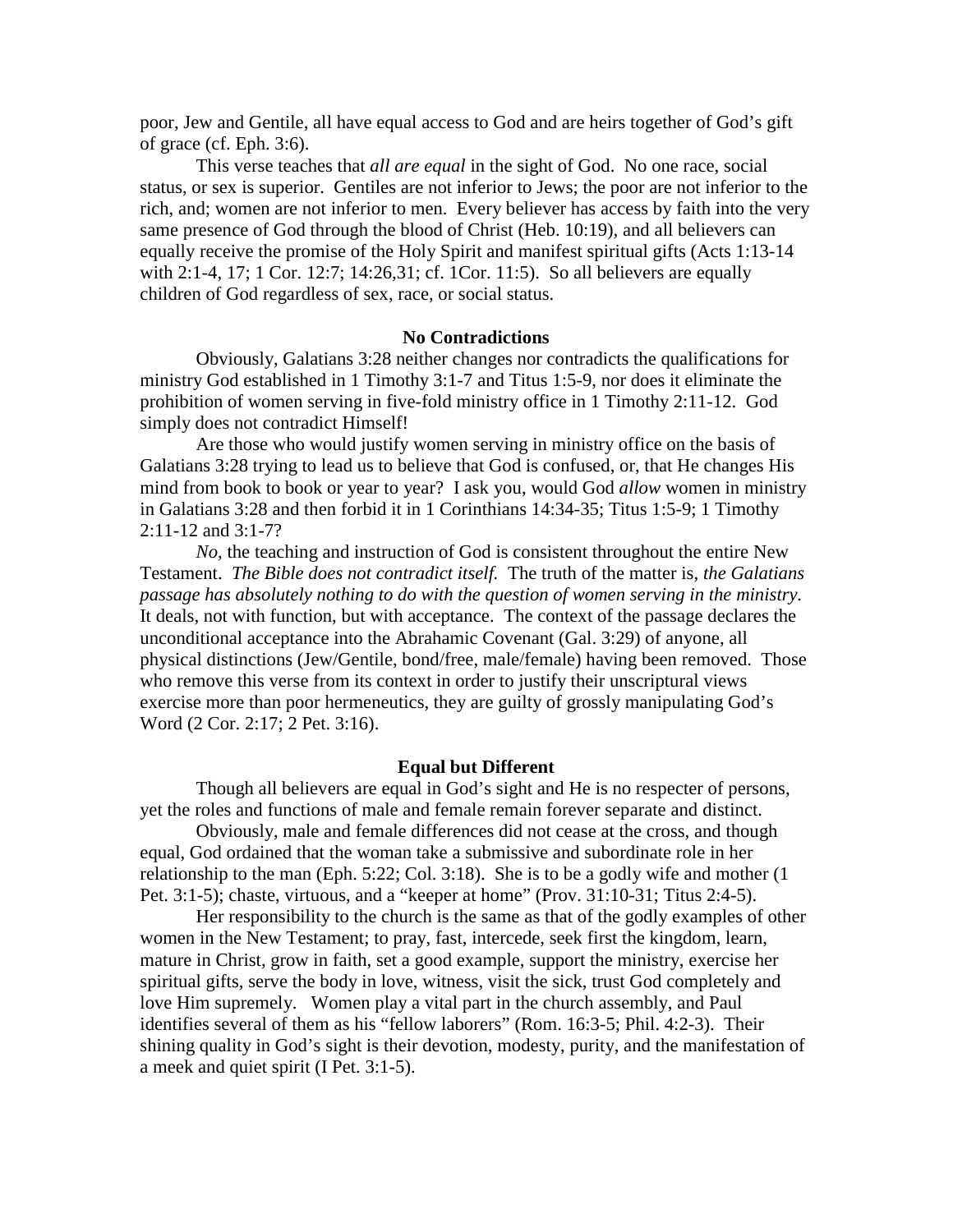poor, Jew and Gentile, all have equal access to God and are heirs together of God's gift of grace (cf. Eph. 3:6).

 This verse teaches that *all are equal* in the sight of God. No one race, social status, or sex is superior. Gentiles are not inferior to Jews; the poor are not inferior to the rich, and; women are not inferior to men. Every believer has access by faith into the very same presence of God through the blood of Christ (Heb. 10:19), and all believers can equally receive the promise of the Holy Spirit and manifest spiritual gifts (Acts 1:13-14 with 2:1-4, 17; 1 Cor. 12:7; 14:26,31; cf. 1Cor. 11:5). So all believers are equally children of God regardless of sex, race, or social status.

#### **No Contradictions**

 Obviously, Galatians 3:28 neither changes nor contradicts the qualifications for ministry God established in 1 Timothy 3:1-7 and Titus 1:5-9, nor does it eliminate the prohibition of women serving in five-fold ministry office in 1 Timothy 2:11-12. God simply does not contradict Himself!

 Are those who would justify women serving in ministry office on the basis of Galatians 3:28 trying to lead us to believe that God is confused, or, that He changes His mind from book to book or year to year? I ask you, would God *allow* women in ministry in Galatians 3:28 and then forbid it in 1 Corinthians 14:34-35; Titus 1:5-9; 1 Timothy 2:11-12 and 3:1-7?

*No*, the teaching and instruction of God is consistent throughout the entire New Testament. *The Bible does not contradict itself.* The truth of the matter is, *the Galatians passage has absolutely nothing to do with the question of women serving in the ministry.* It deals, not with function, but with acceptance. The context of the passage declares the unconditional acceptance into the Abrahamic Covenant (Gal. 3:29) of anyone, all physical distinctions (Jew/Gentile, bond/free, male/female) having been removed. Those who remove this verse from its context in order to justify their unscriptural views exercise more than poor hermeneutics, they are guilty of grossly manipulating God's Word (2 Cor. 2:17; 2 Pet. 3:16).

#### **Equal but Different**

 Though all believers are equal in God's sight and He is no respecter of persons, yet the roles and functions of male and female remain forever separate and distinct.

 Obviously, male and female differences did not cease at the cross, and though equal, God ordained that the woman take a submissive and subordinate role in her relationship to the man (Eph. 5:22; Col. 3:18). She is to be a godly wife and mother (1 Pet. 3:1-5); chaste, virtuous, and a "keeper at home" (Prov. 31:10-31; Titus 2:4-5).

 Her responsibility to the church is the same as that of the godly examples of other women in the New Testament; to pray, fast, intercede, seek first the kingdom, learn, mature in Christ, grow in faith, set a good example, support the ministry, exercise her spiritual gifts, serve the body in love, witness, visit the sick, trust God completely and love Him supremely. Women play a vital part in the church assembly, and Paul identifies several of them as his "fellow laborers" (Rom. 16:3-5; Phil. 4:2-3). Their shining quality in God's sight is their devotion, modesty, purity, and the manifestation of a meek and quiet spirit (I Pet. 3:1-5).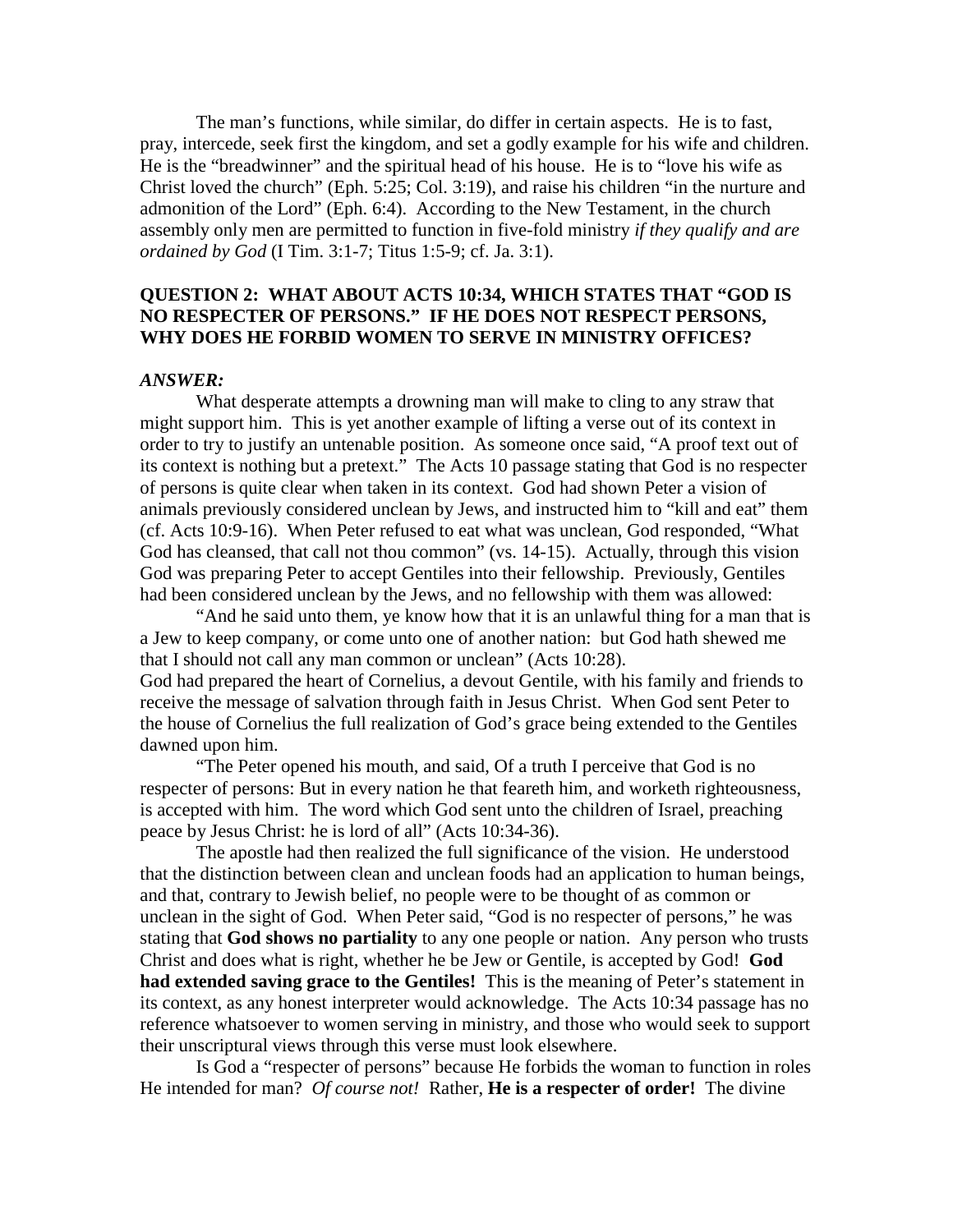The man's functions, while similar, do differ in certain aspects. He is to fast, pray, intercede, seek first the kingdom, and set a godly example for his wife and children. He is the "breadwinner" and the spiritual head of his house. He is to "love his wife as Christ loved the church" (Eph. 5:25; Col. 3:19), and raise his children "in the nurture and admonition of the Lord" (Eph. 6:4). According to the New Testament, in the church assembly only men are permitted to function in five-fold ministry *if they qualify and are ordained by God* (I Tim. 3:1-7; Titus 1:5-9; cf. Ja. 3:1).

# **QUESTION 2: WHAT ABOUT ACTS 10:34, WHICH STATES THAT "GOD IS NO RESPECTER OF PERSONS." IF HE DOES NOT RESPECT PERSONS, WHY DOES HE FORBID WOMEN TO SERVE IN MINISTRY OFFICES?**

### *ANSWER:*

 What desperate attempts a drowning man will make to cling to any straw that might support him. This is yet another example of lifting a verse out of its context in order to try to justify an untenable position. As someone once said, "A proof text out of its context is nothing but a pretext." The Acts 10 passage stating that God is no respecter of persons is quite clear when taken in its context. God had shown Peter a vision of animals previously considered unclean by Jews, and instructed him to "kill and eat" them (cf. Acts 10:9-16). When Peter refused to eat what was unclean, God responded, "What God has cleansed, that call not thou common" (vs. 14-15). Actually, through this vision God was preparing Peter to accept Gentiles into their fellowship. Previously, Gentiles had been considered unclean by the Jews, and no fellowship with them was allowed:

 "And he said unto them, ye know how that it is an unlawful thing for a man that is a Jew to keep company, or come unto one of another nation: but God hath shewed me that I should not call any man common or unclean" (Acts 10:28). God had prepared the heart of Cornelius, a devout Gentile, with his family and friends to

receive the message of salvation through faith in Jesus Christ. When God sent Peter to the house of Cornelius the full realization of God's grace being extended to the Gentiles dawned upon him.

 "The Peter opened his mouth, and said, Of a truth I perceive that God is no respecter of persons: But in every nation he that feareth him, and worketh righteousness, is accepted with him. The word which God sent unto the children of Israel, preaching peace by Jesus Christ: he is lord of all" (Acts 10:34-36).

 The apostle had then realized the full significance of the vision. He understood that the distinction between clean and unclean foods had an application to human beings, and that, contrary to Jewish belief, no people were to be thought of as common or unclean in the sight of God. When Peter said, "God is no respecter of persons," he was stating that **God shows no partiality** to any one people or nation. Any person who trusts Christ and does what is right, whether he be Jew or Gentile, is accepted by God! **God had extended saving grace to the Gentiles!** This is the meaning of Peter's statement in its context, as any honest interpreter would acknowledge. The Acts 10:34 passage has no reference whatsoever to women serving in ministry, and those who would seek to support their unscriptural views through this verse must look elsewhere.

 Is God a "respecter of persons" because He forbids the woman to function in roles He intended for man? *Of course not!* Rather, **He is a respecter of order!** The divine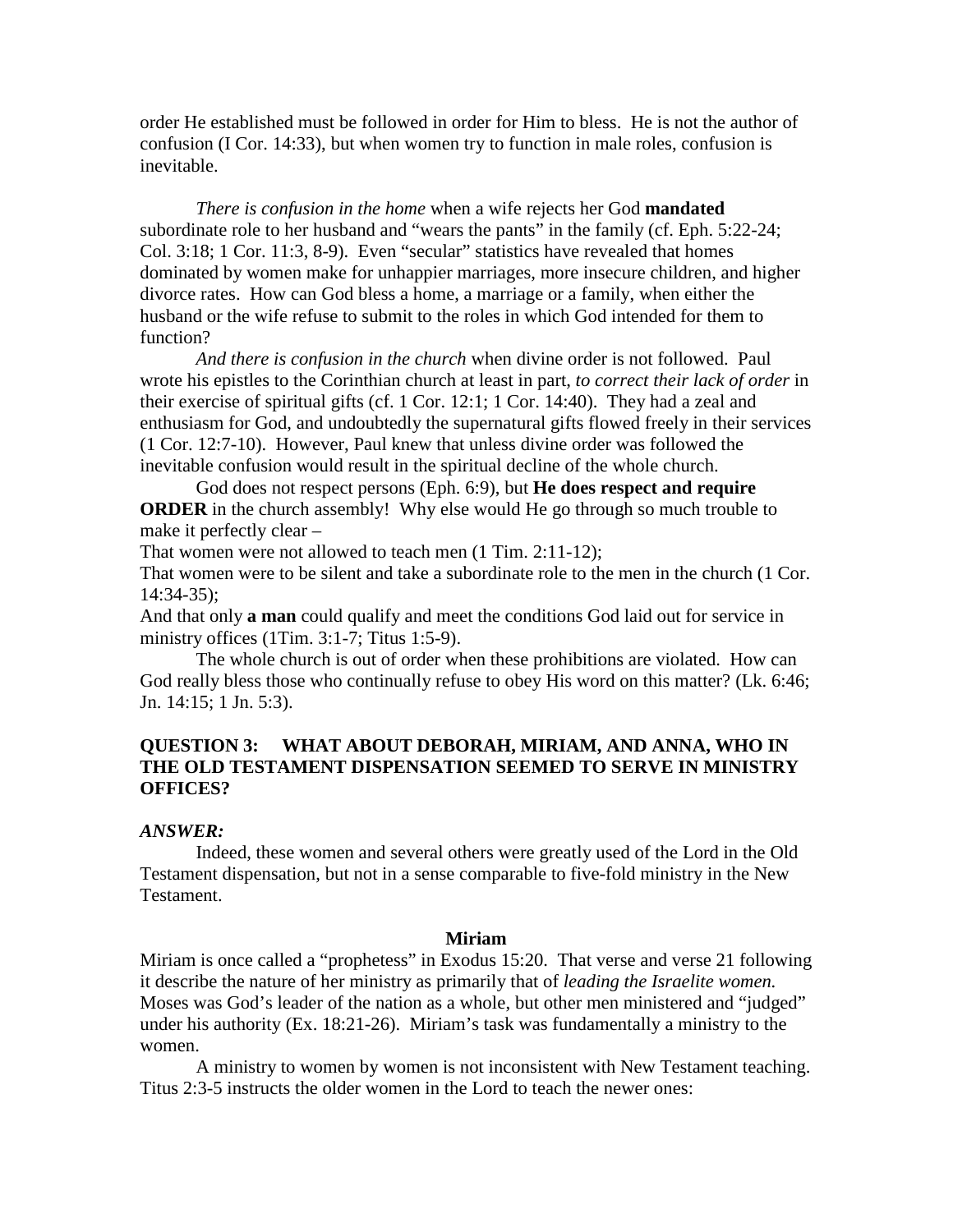order He established must be followed in order for Him to bless. He is not the author of confusion (I Cor. 14:33), but when women try to function in male roles, confusion is inevitable.

*There is confusion in the home* when a wife rejects her God **mandated** subordinate role to her husband and "wears the pants" in the family (cf. Eph. 5:22-24; Col. 3:18; 1 Cor. 11:3, 8-9). Even "secular" statistics have revealed that homes dominated by women make for unhappier marriages, more insecure children, and higher divorce rates. How can God bless a home, a marriage or a family, when either the husband or the wife refuse to submit to the roles in which God intended for them to function?

*And there is confusion in the church* when divine order is not followed. Paul wrote his epistles to the Corinthian church at least in part, *to correct their lack of order* in their exercise of spiritual gifts (cf. 1 Cor. 12:1; 1 Cor. 14:40). They had a zeal and enthusiasm for God, and undoubtedly the supernatural gifts flowed freely in their services (1 Cor. 12:7-10). However, Paul knew that unless divine order was followed the inevitable confusion would result in the spiritual decline of the whole church.

 God does not respect persons (Eph. 6:9), but **He does respect and require ORDER** in the church assembly! Why else would He go through so much trouble to make it perfectly clear –

That women were not allowed to teach men (1 Tim. 2:11-12);

That women were to be silent and take a subordinate role to the men in the church (1 Cor. 14:34-35);

And that only **a man** could qualify and meet the conditions God laid out for service in ministry offices (1Tim. 3:1-7; Titus 1:5-9).

 The whole church is out of order when these prohibitions are violated. How can God really bless those who continually refuse to obey His word on this matter? (Lk. 6:46; Jn. 14:15; 1 Jn. 5:3).

# **QUESTION 3: WHAT ABOUT DEBORAH, MIRIAM, AND ANNA, WHO IN THE OLD TESTAMENT DISPENSATION SEEMED TO SERVE IN MINISTRY OFFICES?**

## *ANSWER:*

 Indeed, these women and several others were greatly used of the Lord in the Old Testament dispensation, but not in a sense comparable to five-fold ministry in the New Testament.

#### **Miriam**

Miriam is once called a "prophetess" in Exodus 15:20. That verse and verse 21 following it describe the nature of her ministry as primarily that of *leading the Israelite women.*  Moses was God's leader of the nation as a whole, but other men ministered and "judged" under his authority (Ex. 18:21-26). Miriam's task was fundamentally a ministry to the women.

 A ministry to women by women is not inconsistent with New Testament teaching. Titus 2:3-5 instructs the older women in the Lord to teach the newer ones: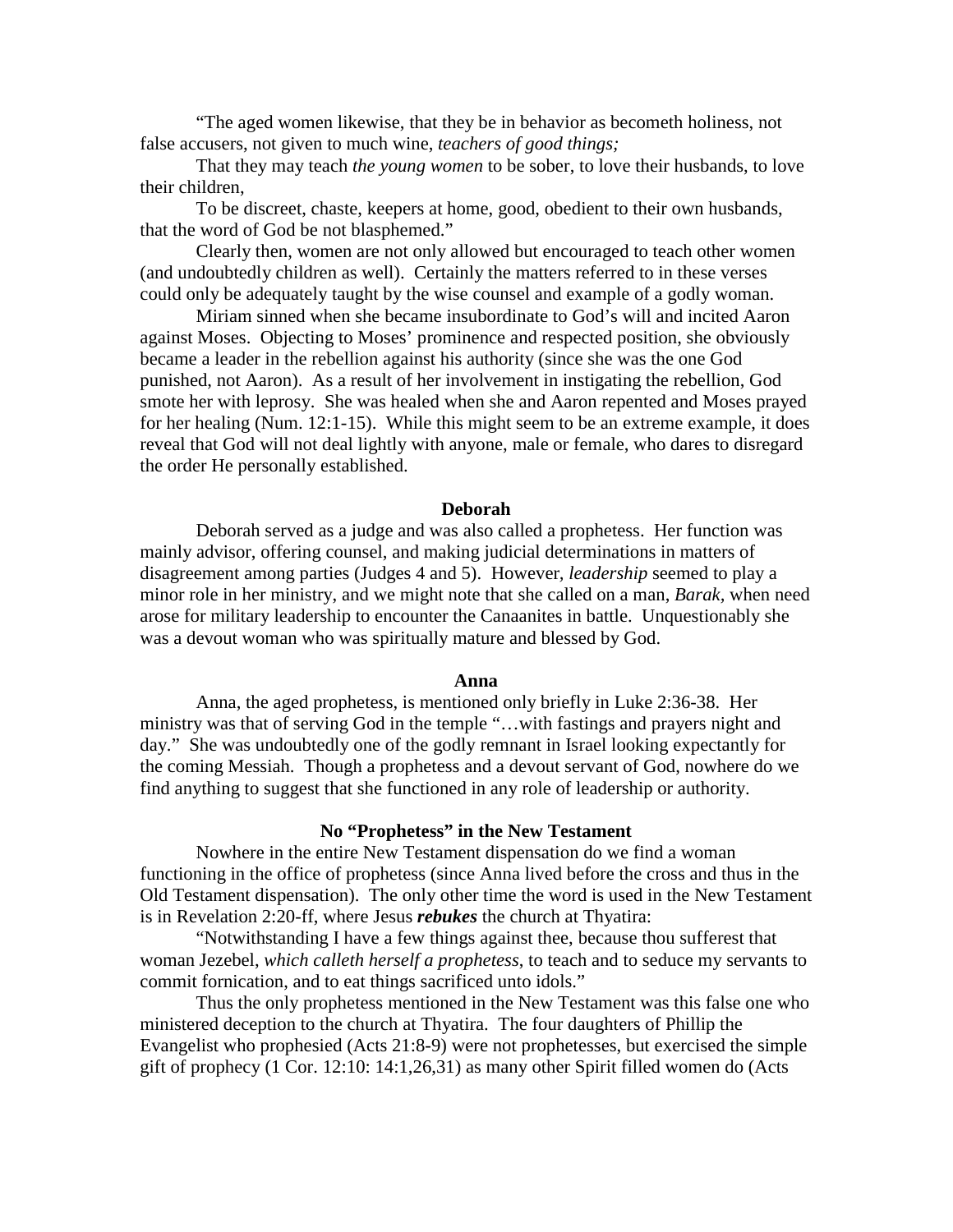"The aged women likewise, that they be in behavior as becometh holiness, not false accusers, not given to much wine, *teachers of good things;* 

 That they may teach *the young women* to be sober, to love their husbands, to love their children,

 To be discreet, chaste, keepers at home, good, obedient to their own husbands, that the word of God be not blasphemed."

 Clearly then, women are not only allowed but encouraged to teach other women (and undoubtedly children as well). Certainly the matters referred to in these verses could only be adequately taught by the wise counsel and example of a godly woman.

 Miriam sinned when she became insubordinate to God's will and incited Aaron against Moses. Objecting to Moses' prominence and respected position, she obviously became a leader in the rebellion against his authority (since she was the one God punished, not Aaron). As a result of her involvement in instigating the rebellion, God smote her with leprosy. She was healed when she and Aaron repented and Moses prayed for her healing (Num. 12:1-15). While this might seem to be an extreme example, it does reveal that God will not deal lightly with anyone, male or female, who dares to disregard the order He personally established.

#### **Deborah**

 Deborah served as a judge and was also called a prophetess. Her function was mainly advisor, offering counsel, and making judicial determinations in matters of disagreement among parties (Judges 4 and 5). However*, leadership* seemed to play a minor role in her ministry, and we might note that she called on a man, *Barak,* when need arose for military leadership to encounter the Canaanites in battle. Unquestionably she was a devout woman who was spiritually mature and blessed by God.

#### **Anna**

 Anna, the aged prophetess, is mentioned only briefly in Luke 2:36-38. Her ministry was that of serving God in the temple "…with fastings and prayers night and day." She was undoubtedly one of the godly remnant in Israel looking expectantly for the coming Messiah. Though a prophetess and a devout servant of God, nowhere do we find anything to suggest that she functioned in any role of leadership or authority.

#### **No "Prophetess" in the New Testament**

 Nowhere in the entire New Testament dispensation do we find a woman functioning in the office of prophetess (since Anna lived before the cross and thus in the Old Testament dispensation). The only other time the word is used in the New Testament is in Revelation 2:20-ff, where Jesus *rebukes* the church at Thyatira:

 "Notwithstanding I have a few things against thee, because thou sufferest that woman Jezebel, *which calleth herself a prophetess*, to teach and to seduce my servants to commit fornication, and to eat things sacrificed unto idols."

 Thus the only prophetess mentioned in the New Testament was this false one who ministered deception to the church at Thyatira. The four daughters of Phillip the Evangelist who prophesied (Acts 21:8-9) were not prophetesses, but exercised the simple gift of prophecy (1 Cor. 12:10: 14:1,26,31) as many other Spirit filled women do (Acts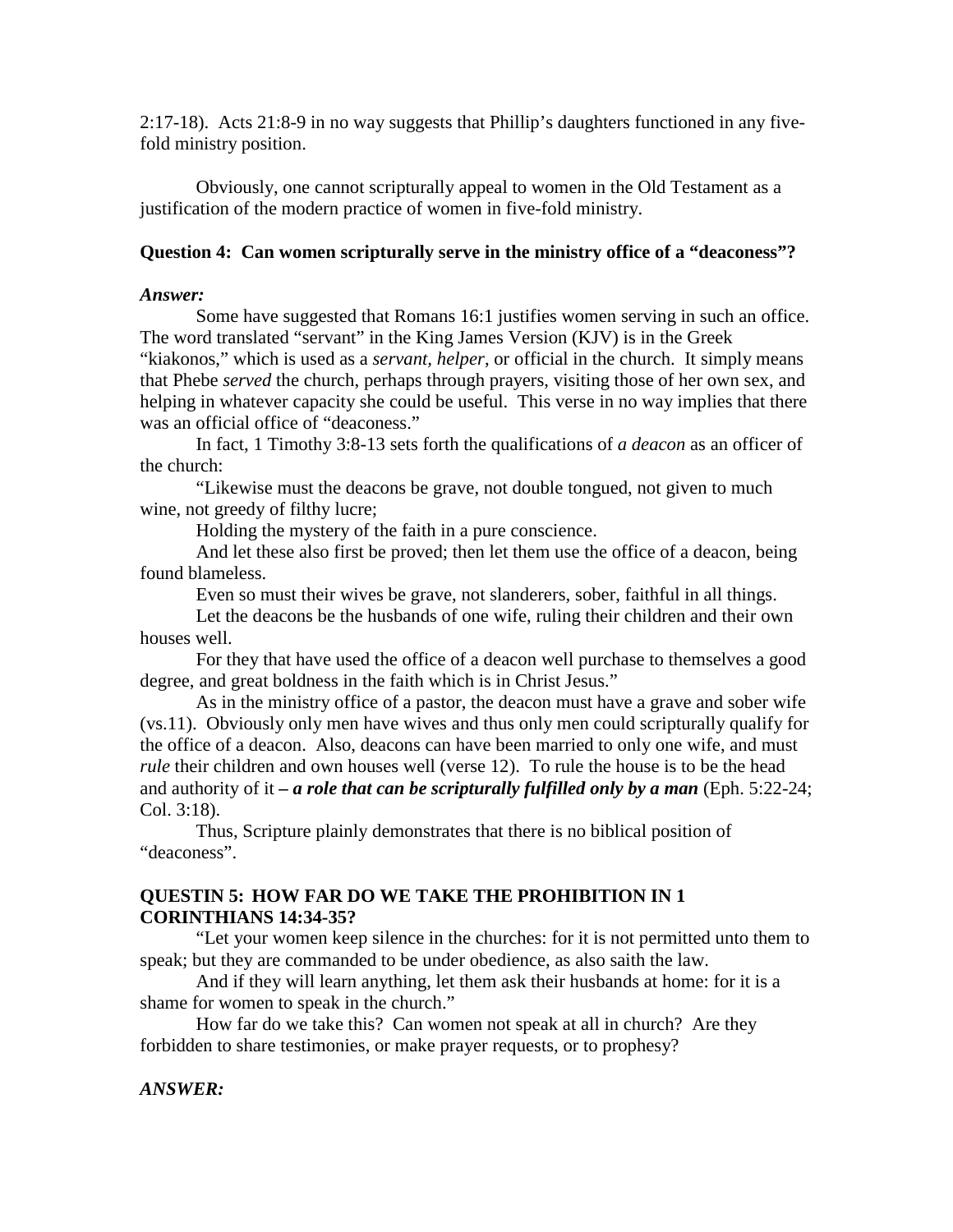2:17-18). Acts 21:8-9 in no way suggests that Phillip's daughters functioned in any fivefold ministry position.

 Obviously, one cannot scripturally appeal to women in the Old Testament as a justification of the modern practice of women in five-fold ministry.

# **Question 4: Can women scripturally serve in the ministry office of a "deaconess"?**

## *Answer:*

 Some have suggested that Romans 16:1 justifies women serving in such an office. The word translated "servant" in the King James Version (KJV) is in the Greek

"kiakonos," which is used as a *servant, helper*, or official in the church. It simply means that Phebe *served* the church, perhaps through prayers, visiting those of her own sex, and helping in whatever capacity she could be useful. This verse in no way implies that there was an official office of "deaconess."

 In fact, 1 Timothy 3:8-13 sets forth the qualifications of *a deacon* as an officer of the church:

 "Likewise must the deacons be grave, not double tongued, not given to much wine, not greedy of filthy lucre;

Holding the mystery of the faith in a pure conscience.

 And let these also first be proved; then let them use the office of a deacon, being found blameless.

Even so must their wives be grave, not slanderers, sober, faithful in all things.

 Let the deacons be the husbands of one wife, ruling their children and their own houses well.

 For they that have used the office of a deacon well purchase to themselves a good degree, and great boldness in the faith which is in Christ Jesus."

 As in the ministry office of a pastor, the deacon must have a grave and sober wife (vs.11). Obviously only men have wives and thus only men could scripturally qualify for the office of a deacon. Also, deacons can have been married to only one wife, and must *rule* their children and own houses well (verse 12). To rule the house is to be the head and authority of it *– a role that can be scripturally fulfilled only by a man* (Eph. 5:22-24; Col. 3:18).

 Thus, Scripture plainly demonstrates that there is no biblical position of "deaconess".

# **QUESTIN 5: HOW FAR DO WE TAKE THE PROHIBITION IN 1 CORINTHIANS 14:34-35?**

 "Let your women keep silence in the churches: for it is not permitted unto them to speak; but they are commanded to be under obedience, as also saith the law.

 And if they will learn anything, let them ask their husbands at home: for it is a shame for women to speak in the church."

 How far do we take this? Can women not speak at all in church? Are they forbidden to share testimonies, or make prayer requests, or to prophesy?

*ANSWER:*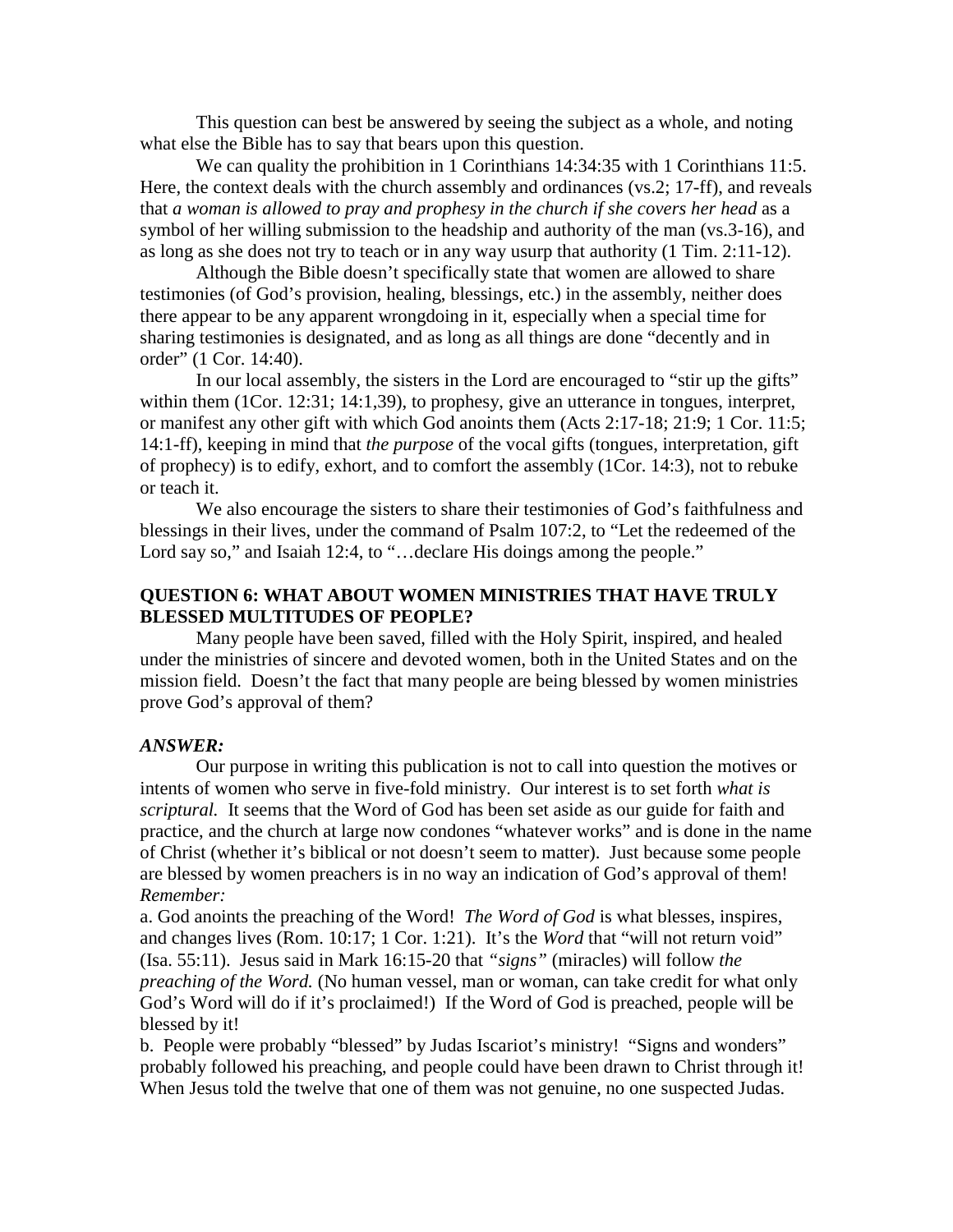This question can best be answered by seeing the subject as a whole, and noting what else the Bible has to say that bears upon this question.

We can quality the prohibition in 1 Corinthians 14:34:35 with 1 Corinthians 11:5. Here, the context deals with the church assembly and ordinances (vs.2; 17-ff), and reveals that *a woman is allowed to pray and prophesy in the church if she covers her head* as a symbol of her willing submission to the headship and authority of the man (vs.3-16), and as long as she does not try to teach or in any way usurp that authority (1 Tim. 2:11-12).

 Although the Bible doesn't specifically state that women are allowed to share testimonies (of God's provision, healing, blessings, etc.) in the assembly, neither does there appear to be any apparent wrongdoing in it, especially when a special time for sharing testimonies is designated, and as long as all things are done "decently and in order" (1 Cor. 14:40).

 In our local assembly, the sisters in the Lord are encouraged to "stir up the gifts" within them (1Cor. 12:31; 14:1,39), to prophesy, give an utterance in tongues, interpret, or manifest any other gift with which God anoints them (Acts 2:17-18; 21:9; 1 Cor. 11:5; 14:1-ff), keeping in mind that *the purpose* of the vocal gifts (tongues, interpretation, gift of prophecy) is to edify, exhort, and to comfort the assembly (1Cor. 14:3), not to rebuke or teach it.

 We also encourage the sisters to share their testimonies of God's faithfulness and blessings in their lives, under the command of Psalm 107:2, to "Let the redeemed of the Lord say so," and Isaiah 12:4, to "...declare His doings among the people."

## **QUESTION 6: WHAT ABOUT WOMEN MINISTRIES THAT HAVE TRULY BLESSED MULTITUDES OF PEOPLE?**

 Many people have been saved, filled with the Holy Spirit, inspired, and healed under the ministries of sincere and devoted women, both in the United States and on the mission field. Doesn't the fact that many people are being blessed by women ministries prove God's approval of them?

## *ANSWER:*

 Our purpose in writing this publication is not to call into question the motives or intents of women who serve in five-fold ministry. Our interest is to set forth *what is scriptural.* It seems that the Word of God has been set aside as our guide for faith and practice, and the church at large now condones "whatever works" and is done in the name of Christ (whether it's biblical or not doesn't seem to matter). Just because some people are blessed by women preachers is in no way an indication of God's approval of them! *Remember:*

a. God anoints the preaching of the Word! *The Word of God* is what blesses, inspires, and changes lives (Rom. 10:17; 1 Cor. 1:21). It's the *Word* that "will not return void" (Isa. 55:11). Jesus said in Mark 16:15-20 that *"signs"* (miracles) will follow *the preaching of the Word.* (No human vessel, man or woman, can take credit for what only God's Word will do if it's proclaimed!) If the Word of God is preached, people will be blessed by it!

b. People were probably "blessed" by Judas Iscariot's ministry! "Signs and wonders" probably followed his preaching, and people could have been drawn to Christ through it! When Jesus told the twelve that one of them was not genuine, no one suspected Judas.